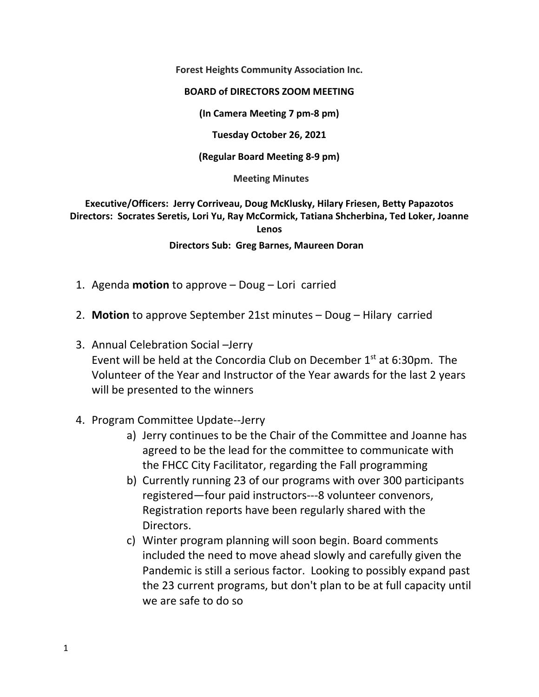**Forest Heights Community Association Inc.**

## **BOARD of DIRECTORS ZOOM MEETING**

**(In Camera Meeting 7 pm‐8 pm)**

**Tuesday October 26, 2021**

**(Regular Board Meeting 8‐9 pm)**

## **Meeting Minutes**

**Executive/Officers: Jerry Corriveau, Doug McKlusky, Hilary Friesen, Betty Papazotos Directors: Socrates Seretis, Lori Yu, Ray McCormick, Tatiana Shcherbina, Ted Loker, Joanne Lenos**

**Directors Sub: Greg Barnes, Maureen Doran** 

- 1. Agenda **motion** to approve Doug Lori carried
- 2. **Motion** to approve September 21st minutes Doug Hilary carried
- 3. Annual Celebration Social –Jerry Event will be held at the Concordia Club on December  $1<sup>st</sup>$  at 6:30pm. The Volunteer of the Year and Instructor of the Year awards for the last 2 years will be presented to the winners
- 4. Program Committee Update‐‐Jerry
	- a) Jerry continues to be the Chair of the Committee and Joanne has agreed to be the lead for the committee to communicate with the FHCC City Facilitator, regarding the Fall programming
	- b) Currently running 23 of our programs with over 300 participants registered—four paid instructors‐‐‐8 volunteer convenors, Registration reports have been regularly shared with the Directors.
	- c) Winter program planning will soon begin. Board comments included the need to move ahead slowly and carefully given the Pandemic is still a serious factor. Looking to possibly expand past the 23 current programs, but don't plan to be at full capacity until we are safe to do so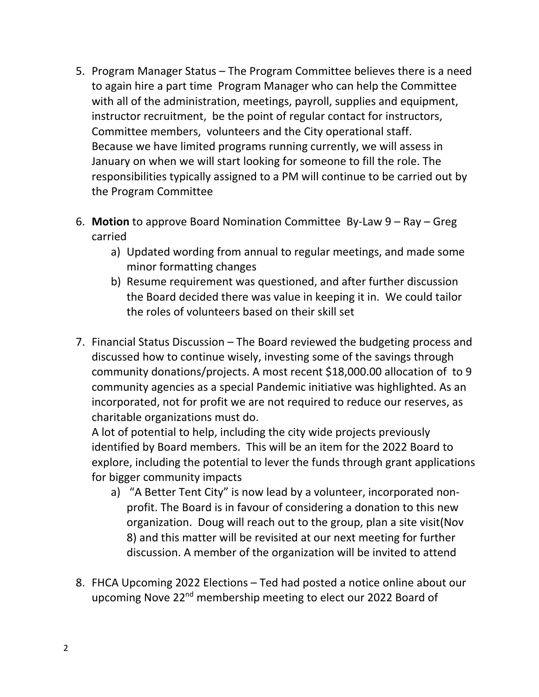- 5. Program Manager Status The Program Committee believes there is a need to again hire a part time Program Manager who can help the Committee with all of the administration, meetings, payroll, supplies and equipment, instructor recruitment, be the point of regular contact for instructors, Committee members, volunteers and the City operational staff. Because we have limited programs running currently, we will assess in January on when we will start looking for someone to fill the role. The responsibilities typically assigned to a PM will continue to be carried out by the Program Committee
- 6. **Motion** to approve Board Nomination Committee By‐Law 9 Ray Greg carried
	- a) Updated wording from annual to regular meetings, and made some minor formatting changes
	- b) Resume requirement was questioned, and after further discussion the Board decided there was value in keeping it in. We could tailor the roles of volunteers based on their skill set
- 7. Financial Status Discussion The Board reviewed the budgeting process and discussed how to continue wisely, investing some of the savings through community donations/projects. A most recent \$18,000.00 allocation of to 9 community agencies as a special Pandemic initiative was highlighted. As an incorporated, not for profit we are not required to reduce our reserves, as charitable organizations must do.

A lot of potential to help, including the city wide projects previously identified by Board members. This will be an item for the 2022 Board to explore, including the potential to lever the funds through grant applications for bigger community impacts

- a) "A Better Tent City" is now lead by a volunteer, incorporated non‐ profit. The Board is in favour of considering a donation to this new organization. Doug will reach out to the group, plan a site visit(Nov 8) and this matter will be revisited at our next meeting for further discussion. A member of the organization will be invited to attend
- 8. FHCA Upcoming 2022 Elections Ted had posted a notice online about our upcoming Nove 22<sup>nd</sup> membership meeting to elect our 2022 Board of